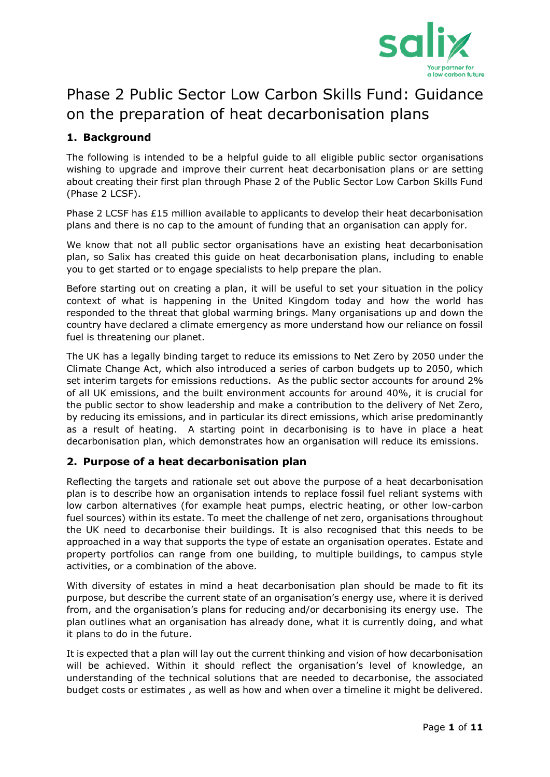

# Phase 2 Public Sector Low Carbon Skills Fund: Guidance on the preparation of heat decarbonisation plans

## **1. Background**

The following is intended to be a helpful guide to all eligible public sector organisations wishing to upgrade and improve their current heat decarbonisation plans or are setting about creating their first plan through Phase 2 of the Public Sector Low Carbon Skills Fund (Phase 2 LCSF).

Phase 2 LCSF has £15 million available to applicants to develop their heat decarbonisation plans and there is no cap to the amount of funding that an organisation can apply for.

We know that not all public sector organisations have an existing heat decarbonisation plan, so Salix has created this guide on heat decarbonisation plans, including to enable you to get started or to engage specialists to help prepare the plan.

Before starting out on creating a plan, it will be useful to set your situation in the policy context of what is happening in the United Kingdom today and how the world has responded to the threat that global warming brings. Many organisations up and down the country have declared a climate emergency as more understand how our reliance on fossil fuel is threatening our planet.

The UK has a legally binding target to reduce its emissions to Net Zero by 2050 under the Climate Change Act, which also introduced a series of carbon budgets up to 2050, which set interim targets for emissions reductions. As the public sector accounts for around 2% of all UK emissions, and the built environment accounts for around 40%, it is crucial for the public sector to show leadership and make a contribution to the delivery of Net Zero, by reducing its emissions, and in particular its direct emissions, which arise predominantly as a result of heating. A starting point in decarbonising is to have in place a heat decarbonisation plan, which demonstrates how an organisation will reduce its emissions.

## **2. Purpose of a heat decarbonisation plan**

Reflecting the targets and rationale set out above the purpose of a heat decarbonisation plan is to describe how an organisation intends to replace fossil fuel reliant systems with low carbon alternatives (for example heat pumps, electric heating, or other low-carbon fuel sources) within its estate. To meet the challenge of net zero, organisations throughout the UK need to decarbonise their buildings. It is also recognised that this needs to be approached in a way that supports the type of estate an organisation operates. Estate and property portfolios can range from one building, to multiple buildings, to campus style activities, or a combination of the above.

With diversity of estates in mind a heat decarbonisation plan should be made to fit its purpose, but describe the current state of an organisation's energy use, where it is derived from, and the organisation's plans for reducing and/or decarbonising its energy use. The plan outlines what an organisation has already done, what it is currently doing, and what it plans to do in the future.

It is expected that a plan will lay out the current thinking and vision of how decarbonisation will be achieved. Within it should reflect the organisation's level of knowledge, an understanding of the technical solutions that are needed to decarbonise, the associated budget costs or estimates , as well as how and when over a timeline it might be delivered.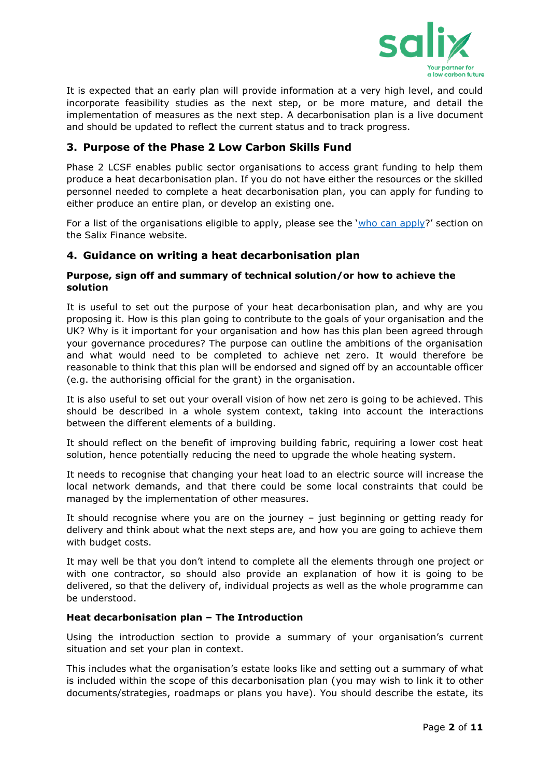

It is expected that an early plan will provide information at a very high level, and could incorporate feasibility studies as the next step, or be more mature, and detail the implementation of measures as the next step. A decarbonisation plan is a live document and should be updated to reflect the current status and to track progress.

## **3. Purpose of the Phase 2 Low Carbon Skills Fund**

Phase 2 LCSF enables public sector organisations to access grant funding to help them produce a heat decarbonisation plan. If you do not have either the resources or the skilled personnel needed to complete a heat decarbonisation plan, you can apply for funding to either produce an entire plan, or develop an existing one.

For a list of the organisations eligible to apply, please see the '[who can apply](https://www.salixfinance.co.uk/P2LCSF_Who_Can_Apply)?' section on the Salix Finance website.

## **4. Guidance on writing a heat decarbonisation plan**

#### **Purpose, sign off and summary of technical solution/or how to achieve the solution**

It is useful to set out the purpose of your heat decarbonisation plan, and why are you proposing it. How is this plan going to contribute to the goals of your organisation and the UK? Why is it important for your organisation and how has this plan been agreed through your governance procedures? The purpose can outline the ambitions of the organisation and what would need to be completed to achieve net zero. It would therefore be reasonable to think that this plan will be endorsed and signed off by an accountable officer (e.g. the authorising official for the grant) in the organisation.

It is also useful to set out your overall vision of how net zero is going to be achieved. This should be described in a whole system context, taking into account the interactions between the different elements of a building.

It should reflect on the benefit of improving building fabric, requiring a lower cost heat solution, hence potentially reducing the need to upgrade the whole heating system.

It needs to recognise that changing your heat load to an electric source will increase the local network demands, and that there could be some local constraints that could be managed by the implementation of other measures.

It should recognise where you are on the journey – just beginning or getting ready for delivery and think about what the next steps are, and how you are going to achieve them with budget costs.

It may well be that you don't intend to complete all the elements through one project or with one contractor, so should also provide an explanation of how it is going to be delivered, so that the delivery of, individual projects as well as the whole programme can be understood.

## **Heat decarbonisation plan – The Introduction**

Using the introduction section to provide a summary of your organisation's current situation and set your plan in context.

This includes what the organisation's estate looks like and setting out a summary of what is included within the scope of this decarbonisation plan (you may wish to link it to other documents/strategies, roadmaps or plans you have). You should describe the estate, its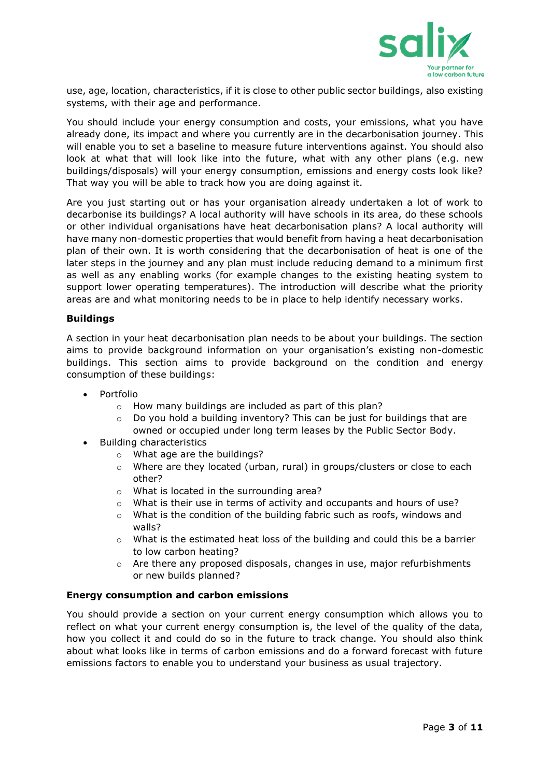

use, age, location, characteristics, if it is close to other public sector buildings, also existing systems, with their age and performance.

You should include your energy consumption and costs, your emissions, what you have already done, its impact and where you currently are in the decarbonisation journey. This will enable you to set a baseline to measure future interventions against. You should also look at what that will look like into the future, what with any other plans (e.g. new buildings/disposals) will your energy consumption, emissions and energy costs look like? That way you will be able to track how you are doing against it.

Are you just starting out or has your organisation already undertaken a lot of work to decarbonise its buildings? A local authority will have schools in its area, do these schools or other individual organisations have heat decarbonisation plans? A local authority will have many non-domestic properties that would benefit from having a heat decarbonisation plan of their own. It is worth considering that the decarbonisation of heat is one of the later steps in the journey and any plan must include reducing demand to a minimum first as well as any enabling works (for example changes to the existing heating system to support lower operating temperatures). The introduction will describe what the priority areas are and what monitoring needs to be in place to help identify necessary works.

#### **Buildings**

A section in your heat decarbonisation plan needs to be about your buildings. The section aims to provide background information on your organisation's existing non-domestic buildings. This section aims to provide background on the condition and energy consumption of these buildings:

- Portfolio
	- o How many buildings are included as part of this plan?
	- o Do you hold a building inventory? This can be just for buildings that are owned or occupied under long term leases by the Public Sector Body.
- Building characteristics
	- o What age are the buildings?
	- $\circ$  Where are they located (urban, rural) in groups/clusters or close to each other?
	- o What is located in the surrounding area?
	- o What is their use in terms of activity and occupants and hours of use?
	- $\circ$  What is the condition of the building fabric such as roofs, windows and walls?
	- o What is the estimated heat loss of the building and could this be a barrier to low carbon heating?
	- $\circ$  Are there any proposed disposals, changes in use, major refurbishments or new builds planned?

#### **Energy consumption and carbon emissions**

You should provide a section on your current energy consumption which allows you to reflect on what your current energy consumption is, the level of the quality of the data, how you collect it and could do so in the future to track change. You should also think about what looks like in terms of carbon emissions and do a forward forecast with future emissions factors to enable you to understand your business as usual trajectory.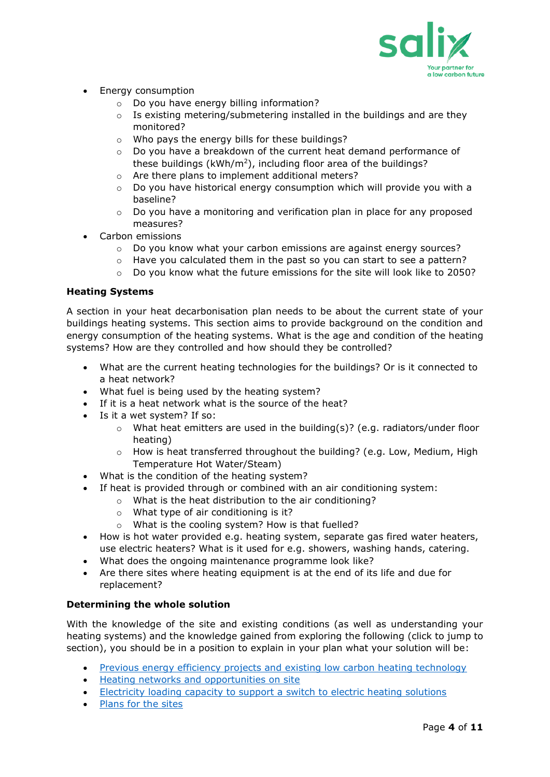

- Energy consumption
	- o Do you have energy billing information?
	- o Is existing metering/submetering installed in the buildings and are they monitored?
	- o Who pays the energy bills for these buildings?
	- o Do you have a breakdown of the current heat demand performance of these buildings ( $kWh/m^2$ ), including floor area of the buildings?
	- o Are there plans to implement additional meters?
	- $\circ$  Do you have historical energy consumption which will provide you with a baseline?
	- $\circ$  Do you have a monitoring and verification plan in place for any proposed measures?
- Carbon emissions
	- $\circ$  Do you know what your carbon emissions are against energy sources?
	- o Have you calculated them in the past so you can start to see a pattern?
	- $\circ$  Do you know what the future emissions for the site will look like to 2050?

## **Heating Systems**

A section in your heat decarbonisation plan needs to be about the current state of your buildings heating systems. This section aims to provide background on the condition and energy consumption of the heating systems. What is the age and condition of the heating systems? How are they controlled and how should they be controlled?

- What are the current heating technologies for the buildings? Or is it connected to a heat network?
- What fuel is being used by the heating system?
- If it is a heat network what is the source of the heat?
- Is it a wet system? If so:
	- $\circ$  What heat emitters are used in the building(s)? (e.g. radiators/under floor heating)
	- $\circ$  How is heat transferred throughout the building? (e.g. Low, Medium, High Temperature Hot Water/Steam)
- What is the condition of the heating system?
- If heat is provided through or combined with an air conditioning system:
	- o What is the heat distribution to the air conditioning?
		- o What type of air conditioning is it?
		- o What is the cooling system? How is that fuelled?
- How is hot water provided e.g. heating system, separate gas fired water heaters, use electric heaters? What is it used for e.g. showers, washing hands, catering.
- What does the ongoing maintenance programme look like?
- Are there sites where heating equipment is at the end of its life and due for replacement?

## **Determining the whole solution**

With the knowledge of the site and existing conditions (as well as understanding your heating systems) and the knowledge gained from exploring the following (click to jump to section), you should be in a position to explain in your plan what your solution will be:

- [Previous energy efficiency projects and existing low carbon heating technology](#page-5-0)
- [Heating networks and opportunities on site](#page-6-0)
- [Electricity loading capacity to support a switch to electric heating solutions](#page-6-1)
- [Plans for the sites](#page-7-0)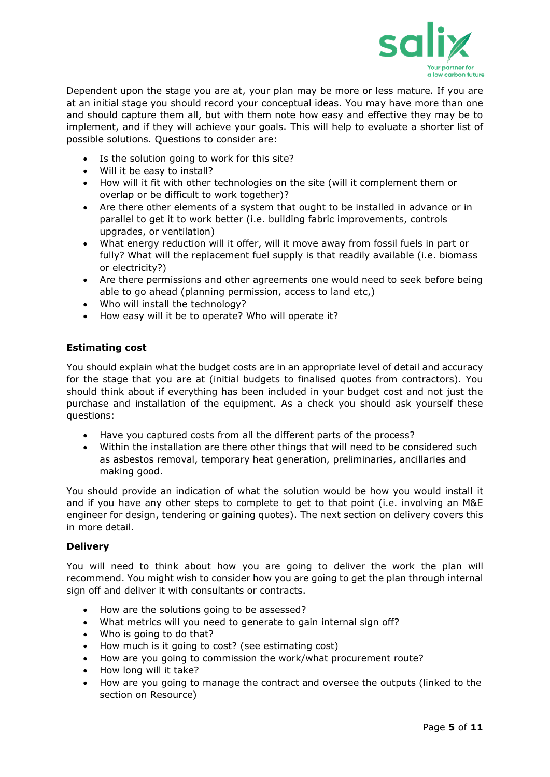

Dependent upon the stage you are at, your plan may be more or less mature. If you are at an initial stage you should record your conceptual ideas. You may have more than one and should capture them all, but with them note how easy and effective they may be to implement, and if they will achieve your goals. This will help to evaluate a shorter list of possible solutions. Questions to consider are:

- Is the solution going to work for this site?
- Will it be easy to install?
- How will it fit with other technologies on the site (will it complement them or overlap or be difficult to work together)?
- Are there other elements of a system that ought to be installed in advance or in parallel to get it to work better (i.e. building fabric improvements, controls upgrades, or ventilation)
- What energy reduction will it offer, will it move away from fossil fuels in part or fully? What will the replacement fuel supply is that readily available (i.e. biomass or electricity?)
- Are there permissions and other agreements one would need to seek before being able to go ahead (planning permission, access to land etc,)
- Who will install the technology?
- How easy will it be to operate? Who will operate it?

## **Estimating cost**

You should explain what the budget costs are in an appropriate level of detail and accuracy for the stage that you are at (initial budgets to finalised quotes from contractors). You should think about if everything has been included in your budget cost and not just the purchase and installation of the equipment. As a check you should ask yourself these questions:

- Have you captured costs from all the different parts of the process?
- Within the installation are there other things that will need to be considered such as asbestos removal, temporary heat generation, preliminaries, ancillaries and making good.

You should provide an indication of what the solution would be how you would install it and if you have any other steps to complete to get to that point (i.e. involving an M&E engineer for design, tendering or gaining quotes). The next section on delivery covers this in more detail.

## **Delivery**

You will need to think about how you are going to deliver the work the plan will recommend. You might wish to consider how you are going to get the plan through internal sign off and deliver it with consultants or contracts.

- How are the solutions going to be assessed?
- What metrics will you need to generate to gain internal sign off?
- Who is going to do that?
- How much is it going to cost? (see estimating cost)
- How are you going to commission the work/what procurement route?
- How long will it take?
- How are you going to manage the contract and oversee the outputs (linked to the section on Resource)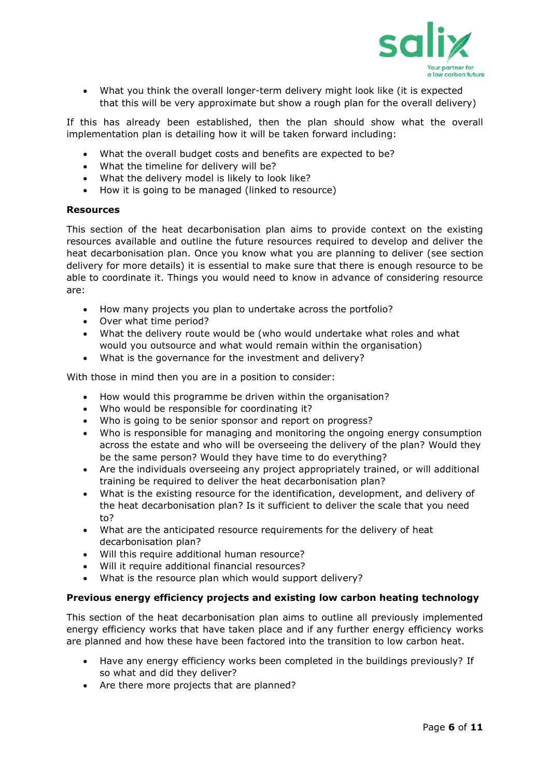

• What you think the overall longer-term delivery might look like (it is expected that this will be very approximate but show a rough plan for the overall delivery)

If this has already been established, then the plan should show what the overall implementation plan is detailing how it will be taken forward including:

- What the overall budget costs and benefits are expected to be?
- What the timeline for delivery will be?
- What the delivery model is likely to look like?
- How it is going to be managed (linked to resource)

#### **Resources**

This section of the heat decarbonisation plan aims to provide context on the existing resources available and outline the future resources required to develop and deliver the heat decarbonisation plan. Once you know what you are planning to deliver (see section delivery for more details) it is essential to make sure that there is enough resource to be able to coordinate it. Things you would need to know in advance of considering resource are:

- How many projects you plan to undertake across the portfolio?
- Over what time period?
- What the delivery route would be (who would undertake what roles and what would you outsource and what would remain within the organisation)
- What is the governance for the investment and delivery?

With those in mind then you are in a position to consider:

- How would this programme be driven within the organisation?
- Who would be responsible for coordinating it?
- Who is going to be senior sponsor and report on progress?
- Who is responsible for managing and monitoring the ongoing energy consumption across the estate and who will be overseeing the delivery of the plan? Would they be the same person? Would they have time to do everything?
- Are the individuals overseeing any project appropriately trained, or will additional training be required to deliver the heat decarbonisation plan?
- What is the existing resource for the identification, development, and delivery of the heat decarbonisation plan? Is it sufficient to deliver the scale that you need to?
- What are the anticipated resource requirements for the delivery of heat decarbonisation plan?
- Will this require additional human resource?
- Will it require additional financial resources?
- What is the resource plan which would support delivery?

#### <span id="page-5-0"></span>**Previous energy efficiency projects and existing low carbon heating technology**

This section of the heat decarbonisation plan aims to outline all previously implemented energy efficiency works that have taken place and if any further energy efficiency works are planned and how these have been factored into the transition to low carbon heat.

- Have any energy efficiency works been completed in the buildings previously? If so what and did they deliver?
- Are there more projects that are planned?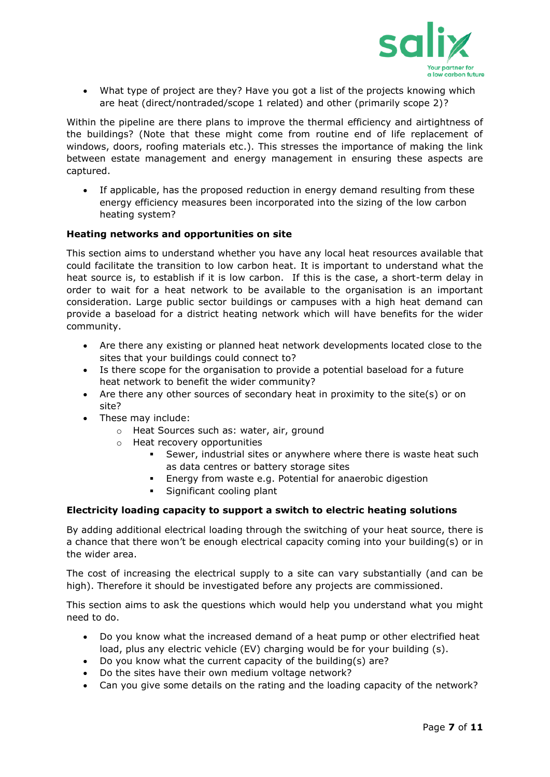

• What type of project are they? Have you got a list of the projects knowing which are heat (direct/nontraded/scope 1 related) and other (primarily scope 2)?

Within the pipeline are there plans to improve the thermal efficiency and airtightness of the buildings? (Note that these might come from routine end of life replacement of windows, doors, roofing materials etc.). This stresses the importance of making the link between estate management and energy management in ensuring these aspects are captured.

• If applicable, has the proposed reduction in energy demand resulting from these energy efficiency measures been incorporated into the sizing of the low carbon heating system?

#### <span id="page-6-0"></span>**Heating networks and opportunities on site**

This section aims to understand whether you have any local heat resources available that could facilitate the transition to low carbon heat. It is important to understand what the heat source is, to establish if it is low carbon. If this is the case, a short-term delay in order to wait for a heat network to be available to the organisation is an important consideration. Large public sector buildings or campuses with a high heat demand can provide a baseload for a district heating network which will have benefits for the wider community.

- Are there any existing or planned heat network developments located close to the sites that your buildings could connect to?
- Is there scope for the organisation to provide a potential baseload for a future heat network to benefit the wider community?
- Are there any other sources of secondary heat in proximity to the site(s) or on site?
- These may include:
	- o Heat Sources such as: water, air, ground
	- o Heat recovery opportunities
		- Sewer, industrial sites or anywhere where there is waste heat such as data centres or battery storage sites
		- Energy from waste e.g. Potential for anaerobic digestion
		- **•** Significant cooling plant

#### <span id="page-6-1"></span>**Electricity loading capacity to support a switch to electric heating solutions**

By adding additional electrical loading through the switching of your heat source, there is a chance that there won't be enough electrical capacity coming into your building(s) or in the wider area.

The cost of increasing the electrical supply to a site can vary substantially (and can be high). Therefore it should be investigated before any projects are commissioned.

This section aims to ask the questions which would help you understand what you might need to do.

- Do you know what the increased demand of a heat pump or other electrified heat load, plus any electric vehicle (EV) charging would be for your building (s).
- Do you know what the current capacity of the building(s) are?
- Do the sites have their own medium voltage network?
- Can you give some details on the rating and the loading capacity of the network?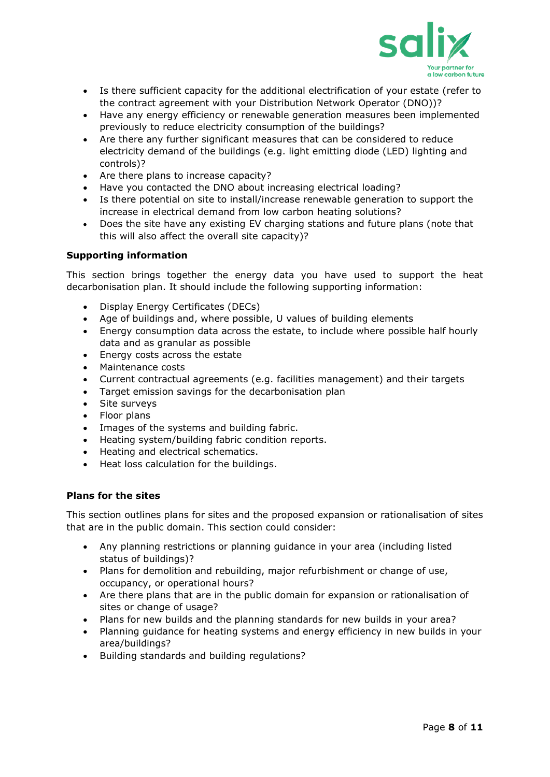

- Is there sufficient capacity for the additional electrification of your estate (refer to the contract agreement with your Distribution Network Operator (DNO))?
- Have any energy efficiency or renewable generation measures been implemented previously to reduce electricity consumption of the buildings?
- Are there any further significant measures that can be considered to reduce electricity demand of the buildings (e.g. light emitting diode (LED) lighting and controls)?
- Are there plans to increase capacity?
- Have you contacted the DNO about increasing electrical loading?
- Is there potential on site to install/increase renewable generation to support the increase in electrical demand from low carbon heating solutions?
- Does the site have any existing EV charging stations and future plans (note that this will also affect the overall site capacity)?

## **Supporting information**

This section brings together the energy data you have used to support the heat decarbonisation plan. It should include the following supporting information:

- Display Energy Certificates (DECs)
- Age of buildings and, where possible, U values of building elements
- Energy consumption data across the estate, to include where possible half hourly data and as granular as possible
- Energy costs across the estate
- Maintenance costs
- Current contractual agreements (e.g. facilities management) and their targets
- Target emission savings for the decarbonisation plan
- Site surveys
- Floor plans
- Images of the systems and building fabric.
- Heating system/building fabric condition reports.
- Heating and electrical schematics.
- Heat loss calculation for the buildings.

## <span id="page-7-0"></span>**Plans for the sites**

This section outlines plans for sites and the proposed expansion or rationalisation of sites that are in the public domain. This section could consider:

- Any planning restrictions or planning guidance in your area (including listed status of buildings)?
- Plans for demolition and rebuilding, major refurbishment or change of use, occupancy, or operational hours?
- Are there plans that are in the public domain for expansion or rationalisation of sites or change of usage?
- Plans for new builds and the planning standards for new builds in your area?
- Planning guidance for heating systems and energy efficiency in new builds in your area/buildings?
- Building standards and building regulations?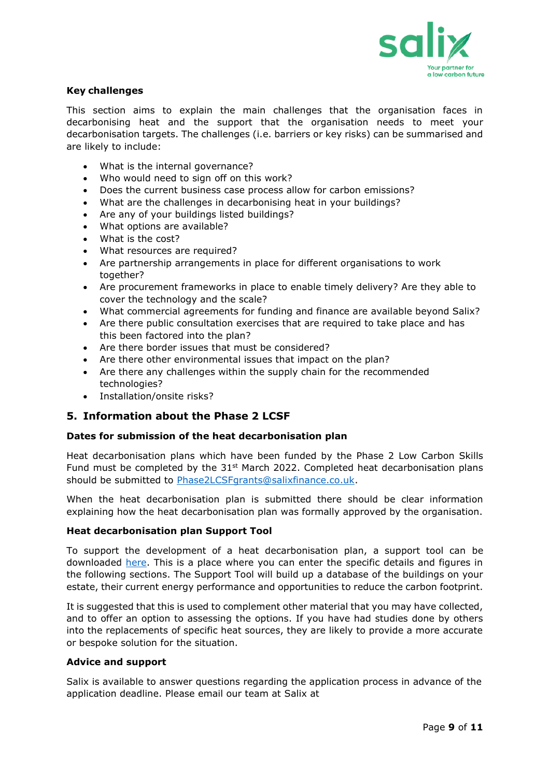

### **Key challenges**

This section aims to explain the main challenges that the organisation faces in decarbonising heat and the support that the organisation needs to meet your decarbonisation targets. The challenges (i.e. barriers or key risks) can be summarised and are likely to include:

- What is the internal governance?
- Who would need to sign off on this work?
- Does the current business case process allow for carbon emissions?
- What are the challenges in decarbonising heat in your buildings?
- Are any of your buildings listed buildings?
- What options are available?
- What is the cost?
- What resources are required?
- Are partnership arrangements in place for different organisations to work together?
- Are procurement frameworks in place to enable timely delivery? Are they able to cover the technology and the scale?
- What commercial agreements for funding and finance are available beyond Salix?
- Are there public consultation exercises that are required to take place and has this been factored into the plan?
- Are there border issues that must be considered?
- Are there other environmental issues that impact on the plan?
- Are there any challenges within the supply chain for the recommended technologies?
- Installation/onsite risks?

## **5. Information about the Phase 2 LCSF**

#### **Dates for submission of the heat decarbonisation plan**

Heat decarbonisation plans which have been funded by the Phase 2 Low Carbon Skills Fund must be completed by the  $31<sup>st</sup>$  March 2022. Completed heat decarbonisation plans should be submitted to [Phase2LCSFgrants@salixfinance.co.uk.](mailto:Phase2LCSFgrants@salixfinance.co.uk)

When the heat decarbonisation plan is submitted there should be clear information explaining how the heat decarbonisation plan was formally approved by the organisation.

#### **Heat decarbonisation plan Support Tool**

To support the development of a heat decarbonisation plan, a support tool can be downloaded [here.](https://www.salixfinance.co.uk/sites/default/files/Phase_2_LCSF_HDP_Support_Tool%20V2.xlsx) This is a place where you can enter the specific details and figures in the following sections. The Support Tool will build up a database of the buildings on your estate, their current energy performance and opportunities to reduce the carbon footprint.

It is suggested that this is used to complement other material that you may have collected, and to offer an option to assessing the options. If you have had studies done by others into the replacements of specific heat sources, they are likely to provide a more accurate or bespoke solution for the situation.

#### **Advice and support**

Salix is available to answer questions regarding the application process in advance of the application deadline. Please email our team at Salix at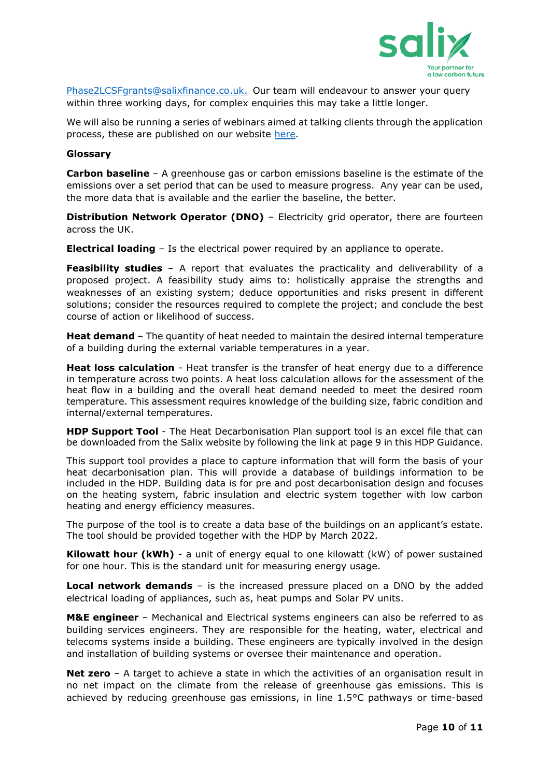

[Phase2LCSFgrants@salixfinance.co.uk.](mailto:Phase2LCSFgrants@salixfinance.co.uk) Our team will endeavour to answer your query within three working days, for complex enquiries this may take a little longer.

We will also be running a series of webinars aimed at talking clients through the application process, these are published on our website [here.](https://www.salixfinance.co.uk/P2LCSF_Support_Resources)

#### **Glossary**

**Carbon baseline** – A greenhouse gas or carbon emissions baseline is the estimate of the emissions over a set period that can be used to measure progress. Any year can be used, the more data that is available and the earlier the baseline, the better.

**Distribution Network Operator (DNO)** – Electricity grid operator, there are fourteen across the UK.

**Electrical loading** – Is the electrical power required by an appliance to operate.

**Feasibility studies** – A report that evaluates the practicality and deliverability of a proposed project. A feasibility study aims to: holistically appraise the strengths and weaknesses of an existing system; deduce opportunities and risks present in different solutions; consider the resources required to complete the project; and conclude the best course of action or likelihood of success.

**Heat demand** – The quantity of heat needed to maintain the desired internal temperature of a building during the external variable temperatures in a year.

**Heat loss calculation** - Heat transfer is the transfer of heat energy due to a difference in temperature across two points. A heat loss calculation allows for the assessment of the heat flow in a building and the overall heat demand needed to meet the desired room temperature. This assessment requires knowledge of the building size, fabric condition and internal/external temperatures.

**HDP Support Tool** - The Heat Decarbonisation Plan support tool is an excel file that can be downloaded from the Salix website by following the link at page 9 in this HDP Guidance.

This support tool provides a place to capture information that will form the basis of your heat decarbonisation plan. This will provide a database of buildings information to be included in the HDP. Building data is for pre and post decarbonisation design and focuses on the heating system, fabric insulation and electric system together with low carbon heating and energy efficiency measures.

The purpose of the tool is to create a data base of the buildings on an applicant's estate. The tool should be provided together with the HDP by March 2022.

**Kilowatt hour (kWh)** - a unit of energy equal to one kilowatt (kW) of power sustained for one hour. This is the standard unit for measuring energy usage.

**Local network demands** – is the increased pressure placed on a DNO by the added electrical loading of appliances, such as, heat pumps and Solar PV units.

**M&E engineer** – Mechanical and Electrical systems engineers can also be referred to as building services engineers. They are responsible for the heating, water, electrical and telecoms systems inside a building. These engineers are typically involved in the design and installation of building systems or oversee their maintenance and operation.

**Net zero** – A target to achieve a state in which the activities of an organisation result in no net impact on the climate from the release of greenhouse gas emissions. This is achieved by reducing greenhouse gas emissions, in line 1.5°C pathways or time-based